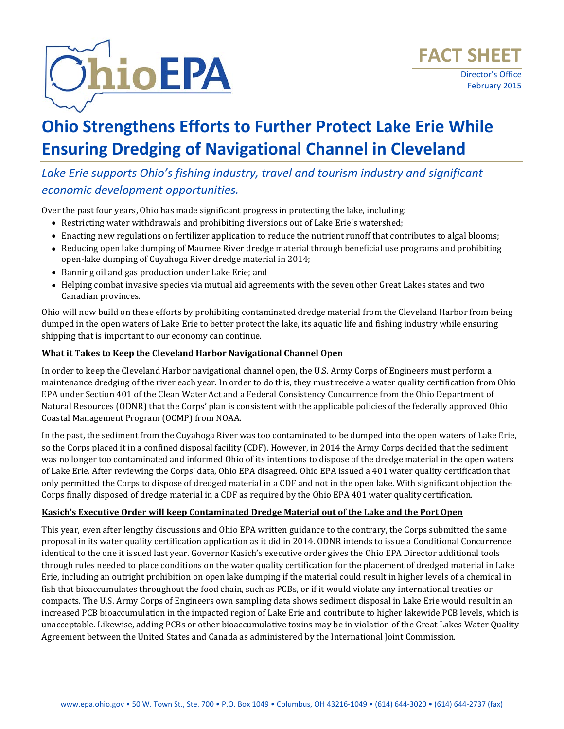

# **Ohio Strengthens Efforts to Further Protect Lake Erie While Ensuring Dredging of Navigational Channel in Cleveland**

### *Lake Erie supports Ohio's fishing industry, travel and tourism industry and significant economic development opportunities.*

Over the past four years, Ohio has made significant progress in protecting the lake, including:

- Restricting water withdrawals and prohibiting diversions out of Lake Erie's watershed;
- Enacting new regulations on fertilizer application to reduce the nutrient runoff that contributes to algal blooms;
- Reducing open lake dumping of Maumee River dredge material through beneficial use programs and prohibiting open-lake dumping of Cuyahoga River dredge material in 2014;
- Banning oil and gas production under Lake Erie; and
- Helping combat invasive species via mutual aid agreements with the seven other Great Lakes states and two Canadian provinces.

Ohio will now build on these efforts by prohibiting contaminated dredge material from the Cleveland Harbor from being dumped in the open waters of Lake Erie to better protect the lake, its aquatic life and fishing industry while ensuring shipping that is important to our economy can continue.

#### **What it Takes to Keep the Cleveland Harbor Navigational Channel Open**

In order to keep the Cleveland Harbor navigational channel open, the U.S. Army Corps of Engineers must perform a maintenance dredging of the river each year. In order to do this, they must receive a water quality certification from Ohio EPA under Section 401 of the Clean Water Act and a Federal Consistency Concurrence from the Ohio Department of Natural Resources (ODNR) that the Corps' plan is consistent with the applicable policies of the federally approved Ohio Coastal Management Program (OCMP) from NOAA.

In the past, the sediment from the Cuyahoga River was too contaminated to be dumped into the open waters of Lake Erie, so the Corps placed it in a confined disposal facility (CDF). However, in 2014 the Army Corps decided that the sediment was no longer too contaminated and informed Ohio of its intentions to dispose of the dredge material in the open waters of Lake Erie. After reviewing the Corps' data, Ohio EPA disagreed. Ohio EPA issued a 401 water quality certification that only permitted the Corps to dispose of dredged material in a CDF and not in the open lake. With significant objection the Corps finally disposed of dredge material in a CDF as required by the Ohio EPA 401 water quality certification.

#### **Kasich's Executive Order will keep Contaminated Dredge Material out of the Lake and the Port Open**

This year, even after lengthy discussions and Ohio EPA written guidance to the contrary, the Corps submitted the same proposal in its water quality certification application as it did in 2014. ODNR intends to issue a Conditional Concurrence identical to the one it issued last year. Governor Kasich's executive order gives the Ohio EPA Director additional tools through rules needed to place conditions on the water quality certification for the placement of dredged material in Lake Erie, including an outright prohibition on open lake dumping if the material could result in higher levels of a chemical in fish that bioaccumulates throughout the food chain, such as PCBs, or if it would violate any international treaties or compacts. The U.S. Army Corps of Engineers own sampling data shows sediment disposal in Lake Erie would result in an increased PCB bioaccumulation in the impacted region of Lake Erie and contribute to higher lakewide PCB levels, which is unacceptable. Likewise, adding PCBs or other bioaccumulative toxins may be in violation of the Great Lakes Water Quality Agreement between the United States and Canada as administered by the International Joint Commission.